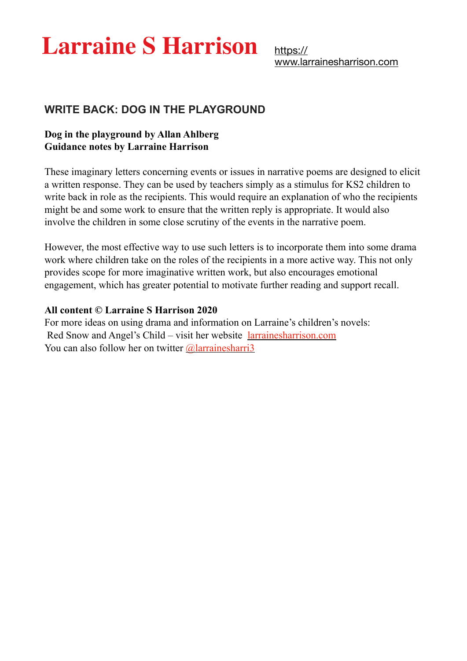# **Larraine S Harrison**

[https://](https://www.larrainesharrison.com) [www.larrainesharrison.com](https://www.larrainesharrison.com)

### **WRITE BACK: DOG IN THE PLAYGROUND**

#### **Dog in the playground by Allan Ahlberg Guidance notes by Larraine Harrison**

These imaginary letters concerning events or issues in narrative poems are designed to elicit a written response. They can be used by teachers simply as a stimulus for KS2 children to write back in role as the recipients. This would require an explanation of who the recipients might be and some work to ensure that the written reply is appropriate. It would also involve the children in some close scrutiny of the events in the narrative poem.

However, the most effective way to use such letters is to incorporate them into some drama work where children take on the roles of the recipients in a more active way. This not only provides scope for more imaginative written work, but also encourages emotional engagement, which has greater potential to motivate further reading and support recall.

#### **All content © Larraine S Harrison 2020**

For more ideas on using drama and information on Larraine's children's novels: Red Snow and Angel's Child – visit her website [larrainesharrison.com](http://larrainesharrison.com) You can also follow her on twitter  $\omega$  alarraines harri<sup>3</sup>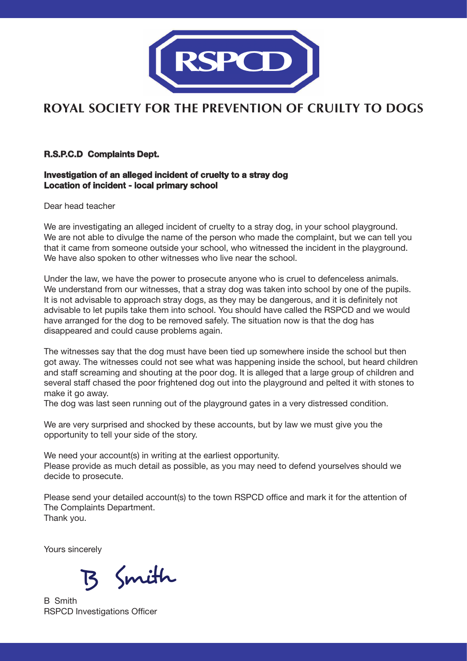

## **ROYAL SOCIETY FOR THE PREVENTION OF CRUILTY TO DOGS**

#### **R.S.P.C.D Complaints Dept.**

#### **Investigation of an alleged incident of cruelty to a stray dog Location of incident - local primary school**

Dear head teacher

We are investigating an alleged incident of cruelty to a stray dog, in your school playground. We are not able to divulge the name of the person who made the complaint, but we can tell you that it came from someone outside your school, who witnessed the incident in the playground. We have also spoken to other witnesses who live near the school.

Under the law, we have the power to prosecute anyone who is cruel to defenceless animals. We understand from our witnesses, that a stray dog was taken into school by one of the pupils. It is not advisable to approach stray dogs, as they may be dangerous, and it is definitely not advisable to let pupils take them into school. You should have called the RSPCD and we would have arranged for the dog to be removed safely. The situation now is that the dog has disappeared and could cause problems again.

The witnesses say that the dog must have been tied up somewhere inside the school but then got away. The witnesses could not see what was happening inside the school, but heard children and staff screaming and shouting at the poor dog. It is alleged that a large group of children and several staff chased the poor frightened dog out into the playground and pelted it with stones to make it go away.

The dog was last seen running out of the playground gates in a very distressed condition.

We are very surprised and shocked by these accounts, but by law we must give you the opportunity to tell your side of the story.

We need your account(s) in writing at the earliest opportunity. Please provide as much detail as possible, as you may need to defend yourselves should we decide to prosecute.

Please send your detailed account(s) to the town RSPCD office and mark it for the attention of The Complaints Department. Thank you.

Yours sincerely

Smith

B Smith RSPCD Investigations Officer